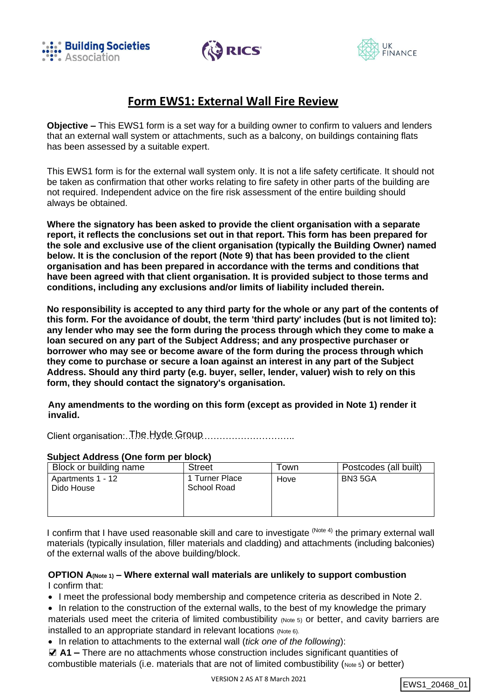





# **Form EWS1: External Wall Fire Review**

**Objective –** This EWS1 form is a set way for a building owner to confirm to valuers and lenders that an external wall system or attachments, such as a balcony, on buildings containing flats has been assessed by a suitable expert.

This EWS1 form is for the external wall system only. It is not a life safety certificate. It should not be taken as confirmation that other works relating to fire safety in other parts of the building are not required. Independent advice on the fire risk assessment of the entire building should always be obtained.

**Where the signatory has been asked to provide the client organisation with a separate report, it reflects the conclusions set out in that report. This form has been prepared for the sole and exclusive use of the client organisation (typically the Building Owner) named below. It is the conclusion of the report (Note 9) that has been provided to the client organisation and has been prepared in accordance with the terms and conditions that have been agreed with that client organisation. It is provided subject to those terms and conditions, including any exclusions and/or limits of liability included therein.**

**No responsibility is accepted to any third party for the whole or any part of the contents of this form. For the avoidance of doubt, the term 'third party' includes (but is not limited to): any lender who may see the form during the process through which they come to make a loan secured on any part of the Subject Address; and any prospective purchaser or borrower who may see or become aware of the form during the process through which they come to purchase or secure a loan against an interest in any part of the Subject Address. Should any third party (e.g. buyer, seller, lender, valuer) wish to rely on this form, they should contact the signatory's organisation.**

**Any amendments to the wording on this form (except as provided in Note 1) render it invalid.**

Client organisation: The Hyde Group ..............................

#### **Subject Address (One form per block)**

| Block or building name          | <b>Street</b>                 | ⊺own | Postcodes (all built) |
|---------------------------------|-------------------------------|------|-----------------------|
| Apartments 1 - 12<br>Dido House | 1 Turner Place<br>School Road | Hove | BN3 5GA               |

I confirm that I have used reasonable skill and care to investigate <sup>(Note 4)</sup> the primary external wall materials (typically insulation, filler materials and cladding) and attachments (including balconies) of the external walls of the above building/block.

### **OPTION A(Note 1) – Where external wall materials are unlikely to support combustion** I confirm that:

• I meet the professional body membership and competence criteria as described in Note 2.

- In relation to the construction of the external walls, to the best of my knowledge the primary materials used meet the criteria of limited combustibility (Note 5) or better, and cavity barriers are installed to an appropriate standard in relevant locations (Note 6).
- In relation to attachments to the external wall (*tick one of the following*):

■ A1 – There are no attachments whose construction includes significant quantities of combustible materials (i.e. materials that are not of limited combustibility ( $Note 5$ ) or better)

```
EWS1_20468_01
```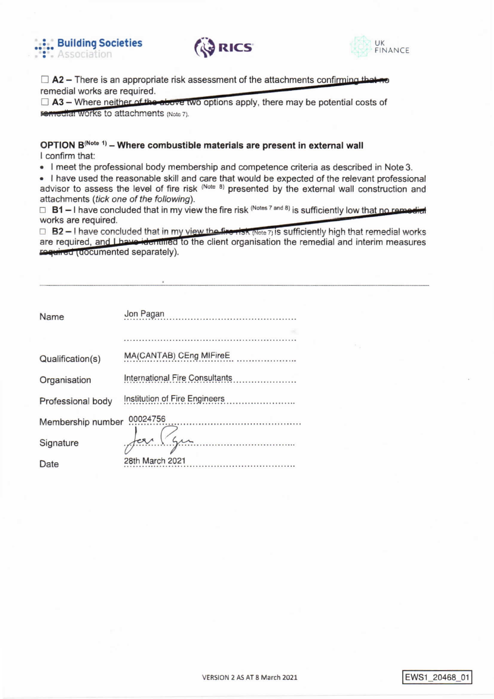





 $\Box$  A2 – There is an appropriate risk assessment of the attachments confirming that no remedial works are required.

 $\Box$  A3 – Where neither of the above two options apply, there may be potential costs of remodial Works to attachments (Note 7).

### OPTION B<sup>(Note 1)</sup> - Where combustible materials are present in external wall I confirm that:

• I meet the professional body membership and competence criteria as described in Note 3.

. I have used the reasonable skill and care that would be expected of the relevant professional advisor to assess the level of fire risk (Note 8) presented by the external wall construction and attachments (tick one of the following).

 $\Box$  B1 – I have concluded that in my view the fire risk (Notes 7 and 8) is sufficiently low that no remodiate works are required.

 $\Box$  B2 - I have concluded that in my view the first (Note 7) is sufficiently high that remedial works are required, and I have identified to the client organisation the remedial and interim measures required (documented separately).

| Name              | Jon Pagan                             |
|-------------------|---------------------------------------|
|                   |                                       |
|                   |                                       |
| Qualification(s)  | MA(CANTAB) CEng MIFireE               |
| Organisation      | <b>International Fire Consultants</b> |
| Professional body | Institution of Fire Engineers         |
| Membership number | 00024756                              |
| Signature         |                                       |
| Date              | 28th March 2021                       |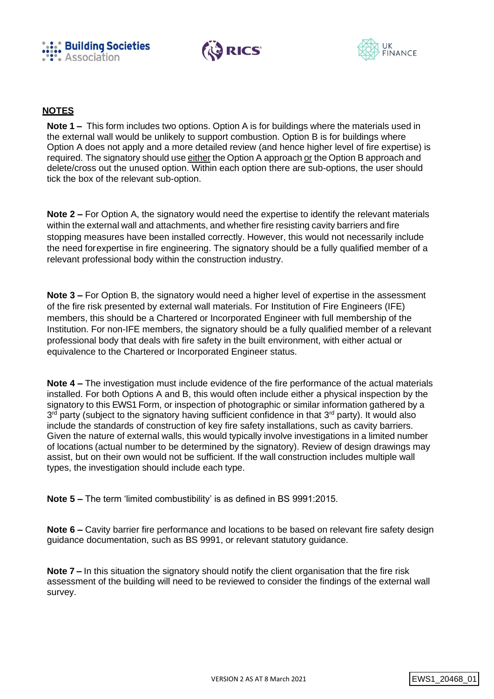





## **NOTES**

**Note 1 –** This form includes two options. Option A is for buildings where the materials used in the external wall would be unlikely to support combustion. Option B is for buildings where Option A does not apply and a more detailed review (and hence higher level of fire expertise) is required. The signatory should use either the Option A approach or the Option B approach and delete/cross out the unused option. Within each option there are sub-options, the user should tick the box of the relevant sub-option.

**Note 2 –** For Option A, the signatory would need the expertise to identify the relevant materials within the external wall and attachments, and whether fire resisting cavity barriers and fire stopping measures have been installed correctly. However, this would not necessarily include the need forexpertise in fire engineering. The signatory should be a fully qualified member of a relevant professional body within the construction industry.

**Note 3 –** For Option B, the signatory would need a higher level of expertise in the assessment of the fire risk presented by external wall materials. For Institution of Fire Engineers (IFE) members, this should be a Chartered or Incorporated Engineer with full membership of the Institution. For non-IFE members, the signatory should be a fully qualified member of a relevant professional body that deals with fire safety in the built environment, with either actual or equivalence to the Chartered or Incorporated Engineer status.

**Note 4 –** The investigation must include evidence of the fire performance of the actual materials installed. For both Options A and B, this would often include either a physical inspection by the signatory to this EWS1 Form, or inspection of photographic or similar information gathered by a 3<sup>rd</sup> party (subject to the signatory having sufficient confidence in that 3<sup>rd</sup> party). It would also include the standards of construction of key fire safety installations, such as cavity barriers. Given the nature of external walls, this would typically involve investigations in a limited number of locations (actual number to be determined by the signatory). Review of design drawings may assist, but on their own would not be sufficient. If the wall construction includes multiple wall types, the investigation should include each type.

**Note 5 –** The term 'limited combustibility' is as defined in BS 9991:2015.

**Note 6 –** Cavity barrier fire performance and locations to be based on relevant fire safety design guidance documentation, such as BS 9991, or relevant statutory guidance.

**Note 7 –** In this situation the signatory should notify the client organisation that the fire risk assessment of the building will need to be reviewed to consider the findings of the external wall survey.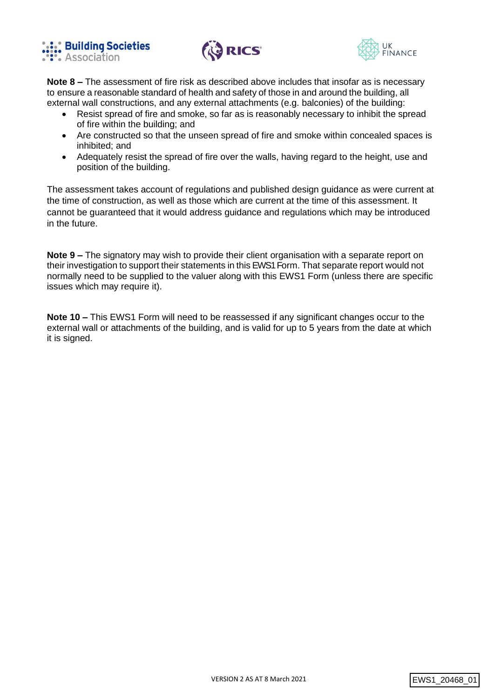





**Note 8 –** The assessment of fire risk as described above includes that insofar as is necessary to ensure a reasonable standard of health and safety of those in and around the building, all external wall constructions, and any external attachments (e.g. balconies) of the building:

- Resist spread of fire and smoke, so far as is reasonably necessary to inhibit the spread of fire within the building; and
- Are constructed so that the unseen spread of fire and smoke within concealed spaces is inhibited; and
- Adequately resist the spread of fire over the walls, having regard to the height, use and position of the building.

The assessment takes account of regulations and published design guidance as were current at the time of construction, as well as those which are current at the time of this assessment. It cannot be guaranteed that it would address guidance and regulations which may be introduced in the future.

**Note 9 –** The signatory may wish to provide their client organisation with a separate report on their investigation to support their statements in this EWS1 Form. That separate report would not normally need to be supplied to the valuer along with this EWS1 Form (unless there are specific issues which may require it).

**Note 10 –** This EWS1 Form will need to be reassessed if any significant changes occur to the external wall or attachments of the building, and is valid for up to 5 years from the date at which it is signed.